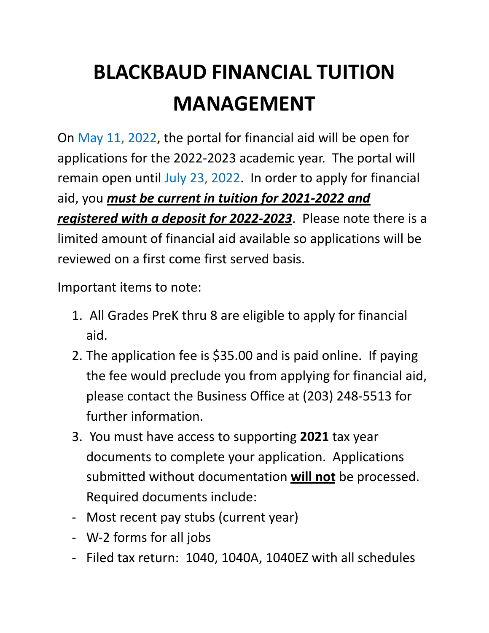# **BLACKBAUD FINANCIAL TUITION MANAGEMENT**

On May 11, 2022, the portal for financial aid will be open for applications for the 2022-2023 academic year. The portal will remain open until July 23, 2022. In order to apply for financial aid, you *must be current in tuition for 2021-2022 and registered with a deposit for 2022-2023*. Please note there is a limited amount of financial aid available so applications will be reviewed on a first come first served basis.

Important items to note:

- 1. All Grades PreK thru 8 are eligible to apply for financial aid.
- 2. The application fee is \$35.00 and is paid online. If paying the fee would preclude you from applying for financial aid, please contact the Business Office at (203) 248-5513 for further information.
- 3. You must have access to supporting **2021** tax year documents to complete your application. Applications submitted without documentation **will not** be processed. Required documents include:
- Most recent pay stubs (current year)
- W-2 forms for all jobs
- Filed tax return: 1040, 1040A, 1040EZ with all schedules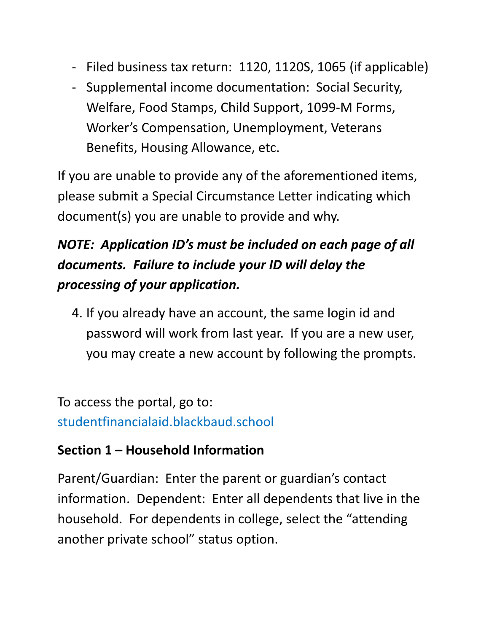- Filed business tax return: 1120, 1120S, 1065 (if applicable)
- Supplemental income documentation: Social Security, Welfare, Food Stamps, Child Support, 1099-M Forms, Worker's Compensation, Unemployment, Veterans Benefits, Housing Allowance, etc.

If you are unable to provide any of the aforementioned items, please submit a Special Circumstance Letter indicating which document(s) you are unable to provide and why.

## *NOTE: Application ID's must be included on each page of all documents. Failure to include your ID will delay the processing of your application.*

4. If you already have an account, the same login id and password will work from last year. If you are a new user, you may create a new account by following the prompts.

To access the portal, go to: studentfinancialaid.blackbaud.school

#### **Section 1 – Household Information**

Parent/Guardian: Enter the parent or guardian's contact information. Dependent: Enter all dependents that live in the household. For dependents in college, select the "attending another private school" status option.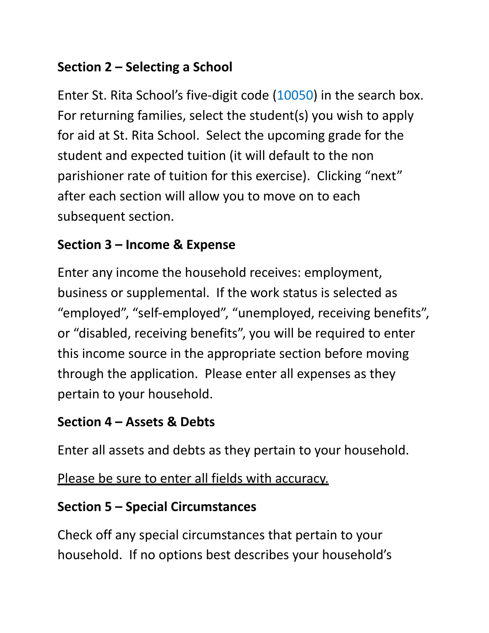#### **Section 2 – Selecting a School**

Enter St. Rita School's five-digit code (10050) in the search box. For returning families, select the student(s) you wish to apply for aid at St. Rita School. Select the upcoming grade for the student and expected tuition (it will default to the non parishioner rate of tuition for this exercise). Clicking "next" after each section will allow you to move on to each subsequent section.

#### **Section 3 – Income & Expense**

Enter any income the household receives: employment, business or supplemental. If the work status is selected as "employed", "self-employed", "unemployed, receiving benefits", or "disabled, receiving benefits", you will be required to enter this income source in the appropriate section before moving through the application. Please enter all expenses as they pertain to your household.

#### **Section 4 – Assets & Debts**

Enter all assets and debts as they pertain to your household.

Please be sure to enter all fields with accuracy.

#### **Section 5 – Special Circumstances**

Check off any special circumstances that pertain to your household. If no options best describes your household's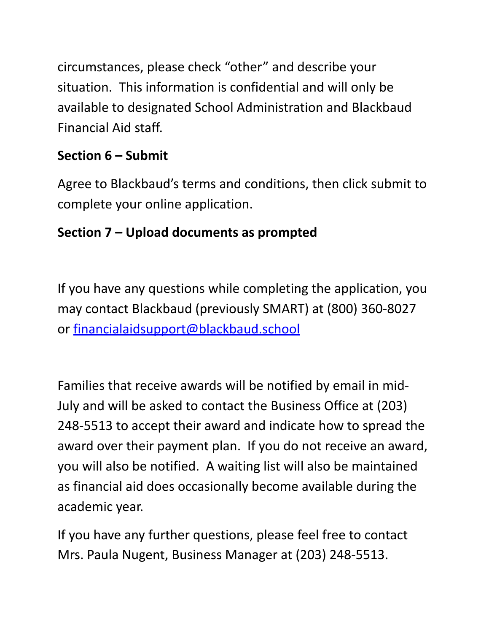circumstances, please check "other" and describe your situation. This information is confidential and will only be available to designated School Administration and Blackbaud Financial Aid staff.

#### **Section 6 – Submit**

Agree to Blackbaud's terms and conditions, then click submit to complete your online application.

#### **Section 7 – Upload documents as prompted**

If you have any questions while completing the application, you may contact Blackbaud (previously SMART) at (800) 360-8027 or [financialaidsupport@blackbaud.school](mailto:financialaidsupport@blackbaud.school)

Families that receive awards will be notified by email in mid-July and will be asked to contact the Business Office at (203) 248-5513 to accept their award and indicate how to spread the award over their payment plan. If you do not receive an award, you will also be notified. A waiting list will also be maintained as financial aid does occasionally become available during the academic year.

If you have any further questions, please feel free to contact Mrs. Paula Nugent, Business Manager at (203) 248-5513.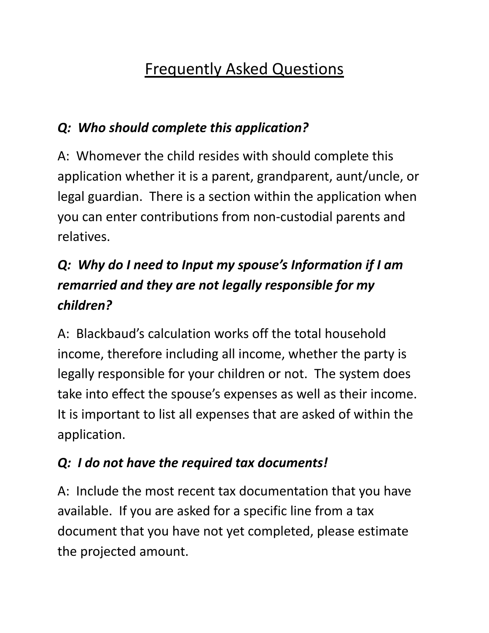# Frequently Asked Questions

#### *Q: Who should complete this application?*

A: Whomever the child resides with should complete this application whether it is a parent, grandparent, aunt/uncle, or legal guardian. There is a section within the application when you can enter contributions from non-custodial parents and relatives.

## *Q: Why do I need to Input my spouse's Information if I am remarried and they are not legally responsible for my children?*

A: Blackbaud's calculation works off the total household income, therefore including all income, whether the party is legally responsible for your children or not. The system does take into effect the spouse's expenses as well as their income. It is important to list all expenses that are asked of within the application.

#### *Q: I do not have the required tax documents!*

A: Include the most recent tax documentation that you have available. If you are asked for a specific line from a tax document that you have not yet completed, please estimate the projected amount.